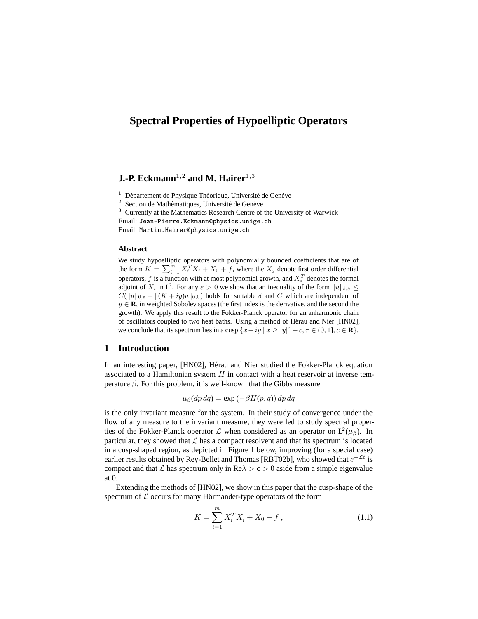# **Spectral Properties of Hypoelliptic Operators**

# **J.-P. Eckmann**<sup>1,2</sup> and M. Hairer<sup>1,3</sup>

 $1$  Département de Physique Théorique, Université de Genève

 $2$  Section de Mathématiques, Université de Genève

<sup>3</sup> Currently at the Mathematics Research Centre of the University of Warwick Email: Jean-Pierre.Eckmann@physics.unige.ch

Email: Martin.Hairer@physics.unige.ch

#### **Abstract**

We study hypoelliptic operators with polynomially bounded coefficients that are of the form  $K = \sum_{i=1}^{m} X_i^T X_i + X_0 + f$ , where the  $X_j$  denote first order differential operators,  $f$  is a function with at most polynomial growth, and  $X_i^T$  denotes the formal adjoint of  $X_i$  in  $\mathsf{L}^2$ . For any  $\varepsilon > 0$  we show that an inequality of the form  $||u||_{\delta,\delta} \leq$  $C(||u||_{0,\varepsilon} + ||(K + iy)u||_{0,0})$  holds for suitable  $\delta$  and  $C$  which are independent of  $y \in \mathbf{R}$ , in weighted Sobolev spaces (the first index is the derivative, and the second the growth). We apply this result to the Fokker-Planck operator for an anharmonic chain of oscillators coupled to two heat baths. Using a method of Hérau and Nier [HN02], we conclude that its spectrum lies in a cusp  $\{x+iy \mid x \ge |y|^\tau - c, \tau \in (0,1], c \in \mathbb{R}\}.$ 

# **1 Introduction**

In an interesting paper, [HN02], Hérau and Nier studied the Fokker-Planck equation associated to a Hamiltonian system  $H$  in contact with a heat reservoir at inverse temperature  $\beta$ . For this problem, it is well-known that the Gibbs measure

$$
\mu_{\beta}(dp\,dq) = \exp\left(-\beta H(p,q)\right) dp\,dq
$$

is the only invariant measure for the system. In their study of convergence under the flow of any measure to the invariant measure, they were led to study spectral properties of the Fokker-Planck operator  $\mathcal L$  when considered as an operator on  $L^2(\mu_\beta)$ . In particular, they showed that  $\mathcal L$  has a compact resolvent and that its spectrum is located in a cusp-shaped region, as depicted in Figure 1 below, improving (for a special case) earlier results obtained by Rey-Bellet and Thomas [RBT02b], who showed that  $e^{-\mathcal{L}t}$  is compact and that L has spectrum only in  $\text{Re}\lambda > c > 0$  aside from a simple eigenvalue at 0.

Extending the methods of [HN02], we show in this paper that the cusp-shape of the spectrum of  $\mathcal L$  occurs for many Hörmander-type operators of the form

$$
K = \sum_{i=1}^{m} X_i^T X_i + X_0 + f \,, \tag{1.1}
$$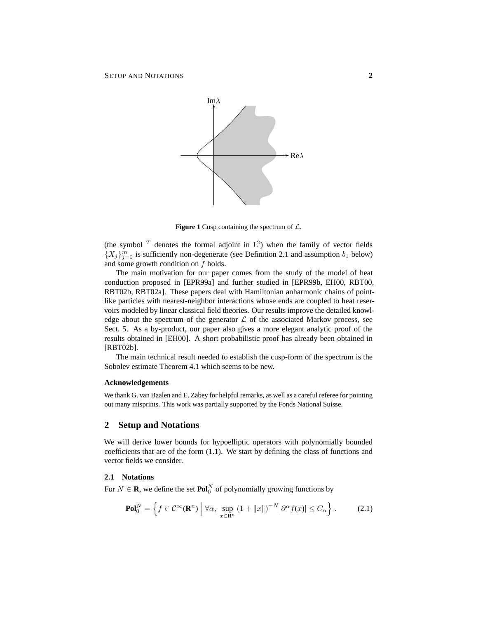

**Figure 1** Cusp containing the spectrum of  $\mathcal{L}$ .

(the symbol  $^T$  denotes the formal adjoint in  $L^2$ ) when the family of vector fields  $\{X_j\}_{j=0}^m$  is sufficiently non-degenerate (see Definition 2.1 and assumption  $b_1$  below) and some growth condition on f holds.

The main motivation for our paper comes from the study of the model of heat conduction proposed in [EPR99a] and further studied in [EPR99b, EH00, RBT00, RBT02b, RBT02a]. These papers deal with Hamiltonian anharmonic chains of pointlike particles with nearest-neighbor interactions whose ends are coupled to heat reservoirs modeled by linear classical field theories. Our results improve the detailed knowledge about the spectrum of the generator  $\mathcal L$  of the associated Markov process, see Sect. 5. As a by-product, our paper also gives a more elegant analytic proof of the results obtained in [EH00]. A short probabilistic proof has already been obtained in [RBT02b].

The main technical result needed to establish the cusp-form of the spectrum is the Sobolev estimate Theorem 4.1 which seems to be new.

#### **Acknowledgements**

We thank G. van Baalen and E. Zabey for helpful remarks, as well as a careful referee for pointing out many misprints. This work was partially supported by the Fonds National Suisse.

### **2 Setup and Notations**

We will derive lower bounds for hypoelliptic operators with polynomially bounded coefficients that are of the form (1.1). We start by defining the class of functions and vector fields we consider.

# **2.1 Notations**

For  $N \in \mathbf{R}$ , we define the set  $\mathbf{Pol}_0^N$  of polynomially growing functions by

$$
\mathbf{Pol}_0^N = \left\{ f \in \mathcal{C}^\infty(\mathbf{R}^n) \middle| \forall \alpha, \sup_{x \in \mathbf{R}^n} \left( 1 + ||x|| \right)^{-N} |\partial^\alpha f(x)| \le C_\alpha \right\}. \tag{2.1}
$$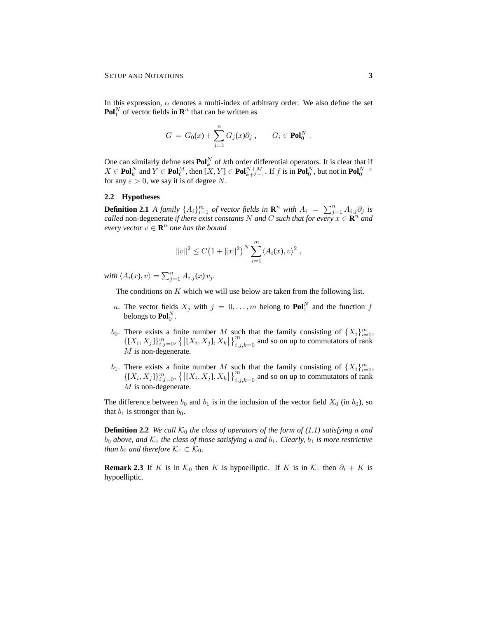In this expression,  $\alpha$  denotes a multi-index of arbitrary order. We also define the set **Pol**<sup>N</sup> of vector fields in  $\mathbb{R}^n$  that can be written as

$$
G = G_0(x) + \sum_{j=1}^n G_j(x)\partial_j , \qquad G_i \in \text{Pol}_0^N.
$$

One can similarly define sets  $\text{Pol}_k^N$  of kth order differential operators. It is clear that if  $X \in \text{Pol}_k^N$  and  $Y \in \text{Pol}_{\ell}^M$ , then  $[X, Y] \in \text{Pol}_{k+\ell-1}^{N+M}$ . If f is in  $\text{Pol}_{0}^N$ , but not in  $\text{Pol}_{0}^{N+\varepsilon}$ for any  $\varepsilon > 0$ , we say it is of degree N.

#### **2.2 Hypotheses**

**Definition 2.1** *A family*  $\{A_i\}_{i=1}^m$  *of vector fields in*  $\mathbf{R}^n$  *with*  $A_i = \sum_{j=1}^n A_{i,j} \partial_j$  *is called* non-degenerate *if there exist constants* N *and* C *such that for every*  $x \in \mathbb{R}^n$  *and*  $\vec{e}$  *every vector*  $v \in \mathbf{R}^n$  *one has the bound* 

$$
||v||^2 \le C (1 + ||x||^2)^N \sum_{i=1}^m \langle A_i(x), v \rangle^2
$$
,

with  $\langle A_i(x), v \rangle = \sum_{j=1}^n A_{i,j}(x) v_j$ .

The conditions on  $K$  which we will use below are taken from the following list.

- a. The vector fields  $X_j$  with  $j = 0, ..., m$  belong to  $\text{Pol}_1^N$  and the function f belongs to  $\mathbf{Pol}_0^N$ .
- $b_0$ . There exists a finite number M such that the family consisting of  $\{X_i\}_{i=0}^m$ ,  $\{[X_i, X_j]\}_{i,j=0}^m$ ,  $\{[[X_i, X_j], X_k]\}_{i,j,k=0}^m$  and so on up to commutators of rank  $M$  is non-degenerate.
- $b_1$ . There exists a finite number M such that the family consisting of  $\{X_i\}_{i=1}^m$ ,  $\{[X_i, X_j]\}_{i,j=0}^m$ ,  $\{[[X_i, X_j], X_k]\}_{i,j,k=0}^m$  and so on up to commutators of rank  $\cal M$  is non-degenerate.

The difference between  $b_0$  and  $b_1$  is in the inclusion of the vector field  $X_0$  (in  $b_0$ ), so that  $b_1$  is stronger than  $b_0$ .

**Definition 2.2** *We call*  $K_0$  *the class of operators of the form of (1.1) satisfying a and*  $b_0$  *above, and*  $\mathcal{K}_1$  *the class of those satisfying a and*  $b_1$ *. Clearly,*  $b_1$  *is more restrictive than*  $b_0$  *and therefore*  $K_1 \subset K_0$ *.* 

**Remark 2.3** If K is in  $\mathcal{K}_0$  then K is hypoelliptic. If K is in  $\mathcal{K}_1$  then  $\partial_t + K$  is hypoelliptic.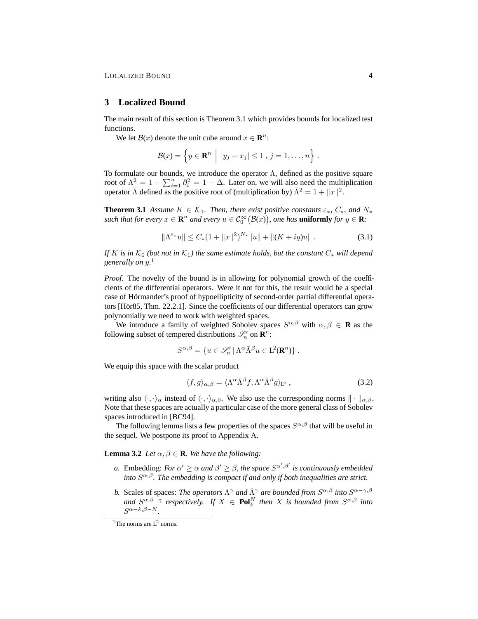### **3 Localized Bound**

The main result of this section is Theorem 3.1 which provides bounds for localized test functions.

We let  $\mathcal{B}(x)$  denote the unit cube around  $x \in \mathbb{R}^n$ :

$$
\mathcal{B}(x) = \left\{ y \in \mathbf{R}^n \middle| |y_j - x_j| \leq 1, j = 1, \ldots, n \right\}.
$$

To formulate our bounds, we introduce the operator  $\Lambda$ , defined as the positive square root of  $\Lambda^2 = 1 - \sum_{i=1}^n \partial_i^2 = 1 - \Delta$ . Later on, we will also need the multiplication operator  $\bar{\Lambda}$  defined as the positive root of (multiplication by)  $\bar{\Lambda}^2 = 1 + ||x||^2$ .

**Theorem 3.1** *Assume*  $K \in \mathcal{K}_1$ *. Then, there exist positive constants*  $\varepsilon_*, C_*,$  *and*  $N_*$ such that for every  $x \in \mathbb{R}^n$  and every  $u \in C_0^{\infty}(\mathcal{B}(x))$ , one has **uniformly** for  $y \in \mathbb{R}$ :

$$
\|\Lambda^{\varepsilon_*}u\| \le C_*(1 + \|x\|^2)^{N_*}\|u\| + \|(K+iy)u\|.
$$
 (3.1)

*If* K is in  $K_0$  *(but not in*  $K_1$ *) the same estimate holds, but the constant*  $C_*$  *will depend generally on* y*.* 1

*Proof.* The novelty of the bound is in allowing for polynomial growth of the coefficients of the differential operators. Were it not for this, the result would be a special case of Hörmander's proof of hypoellipticity of second-order partial differential operators  $[H\ddot{\text{o}}r85, Thm. 22.2.1]$ . Since the coefficients of our differential operators can grow polynomially we need to work with weighted spaces.

We introduce a family of weighted Sobolev spaces  $S^{\alpha,\beta}$  with  $\alpha,\beta \in \mathbf{R}$  as the following subset of tempered distributions  $\mathscr{S}'_n$  on  $\mathbb{R}^n$ :

$$
S^{\alpha,\beta} = \{ u \in \mathscr{S}'_n \mid \Lambda^{\alpha} \bar{\Lambda}^{\beta} u \in \mathcal{L}^2(\mathbf{R}^n) \} .
$$

We equip this space with the scalar product

$$
\langle f, g \rangle_{\alpha, \beta} = \langle \Lambda^{\alpha} \bar{\Lambda}^{\beta} f, \Lambda^{\alpha} \bar{\Lambda}^{\beta} g \rangle_{L^2}, \qquad (3.2)
$$

writing also  $\langle \cdot, \cdot \rangle_{\alpha}$  instead of  $\langle \cdot, \cdot \rangle_{\alpha,0}$ . We also use the corresponding norms  $\| \cdot \|_{\alpha,\beta}$ . Note that these spaces are actually a particular case of the more general class of Sobolev spaces introduced in [BC94].

The following lemma lists a few properties of the spaces  $S^{\alpha,\beta}$  that will be useful in the sequel. We postpone its proof to Appendix A.

**Lemma 3.2** *Let*  $\alpha, \beta \in \mathbf{R}$ *. We have the following:* 

- *a*. Embedding: *For*  $\alpha' \geq \alpha$  *and*  $\beta' \geq \beta$ *, the space*  $S^{\alpha',\beta'}$  *is continuously embedded into* S α,β*. The embedding is compact if and only if both inequalities are strict.*
- *b.* Scales of spaces: *The operators*  $\Lambda^{\gamma}$  *and*  $\bar{\Lambda}^{\gamma}$  *are bounded from*  $S^{\alpha,\beta}$  *into*  $S^{\alpha-\gamma,\beta}$ and  $S^{\alpha,\beta-\gamma}$  respectively. If  $X \in \text{Pol}_k^N$  then X is bounded from  $S^{\alpha,\beta}$  into  $S^{\alpha-k,\beta-N}$ .

<sup>&</sup>lt;sup>1</sup>The norms are  $L^2$  norms.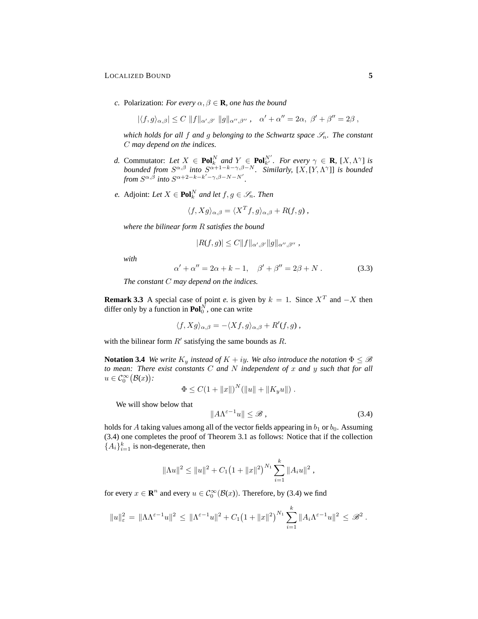#### LOCALIZED BOUND **5**

*c.* Polarization: *For every*  $\alpha, \beta \in \mathbf{R}$ *, one has the bound* 

$$
|\langle f,g \rangle_{\alpha,\beta}| \leq C \|f\|_{\alpha',\beta'} \|g\|_{\alpha'',\beta''}, \quad \alpha' + \alpha'' = 2\alpha, \ \beta' + \beta'' = 2\beta,
$$

*which holds for all f and g belonging to the Schwartz space*  $\mathscr{S}_n$ *. The constant* C *may depend on the indices.*

- *d.* Commutator: Let  $X \in \text{Pol}_k^N$  and  $Y \in \text{Pol}_{k'}^N$ . For every  $\gamma \in \mathbf{R}$ ,  $[X, \Lambda^\gamma]$  is *bounded from*  $S^{\alpha,\beta}$  *into*  $S^{\alpha+1-k-\gamma,\beta-N}$ *. Similarly,*  $[X,[Y,\Lambda^{\gamma}]]$  *is bounded from*  $S^{\alpha, \beta}$  *into*  $S^{\alpha+2-k-k'-\gamma, \beta-N-N'}$ .
- *e.* Adjoint: Let  $X \in \text{Pol}_k^N$  and let  $f, g \in \mathscr{S}_n$ . Then

$$
\langle f, Xg \rangle_{\alpha, \beta} = \langle X^T f, g \rangle_{\alpha, \beta} + R(f, g) ,
$$

*where the bilinear form* R *satisfies the bound*

$$
|R(f,g)| \leq C||f||_{\alpha',\beta'}||g||_{\alpha'',\beta''},
$$

*with*

$$
\alpha' + \alpha'' = 2\alpha + k - 1, \quad \beta' + \beta'' = 2\beta + N. \tag{3.3}
$$

*The constant* C *may depend on the indices.*

**Remark 3.3** A special case of point *e*. is given by  $k = 1$ . Since  $X<sup>T</sup>$  and  $-X$  then differ only by a function in  $\text{Pol}_0^N$ , one can write

$$
\langle f, Xg \rangle_{\alpha,\beta} = -\langle Xf, g \rangle_{\alpha,\beta} + R'(f,g),
$$

with the bilinear form  $R'$  satisfying the same bounds as  $R$ .

**Notation 3.4** *We write*  $K_y$  *instead of*  $K + iy$ *. We also introduce the notation*  $\Phi \leq \mathscr{B}$ *to mean: There exist constants* C *and* N *independent of* x *and* y *such that for all*  $u \in C_0^{\infty}(\mathcal{B}(x))$ :

$$
\Phi \leq C \left(1 + \|x\| \right)^N (\|u\| + \|K_y u\|) .
$$

We will show below that

$$
||A\Lambda^{\varepsilon-1}u|| \leq \mathcal{B},\tag{3.4}
$$

holds for A taking values among all of the vector fields appearing in  $b_1$  or  $b_0$ . Assuming (3.4) one completes the proof of Theorem 3.1 as follows: Notice that if the collection  ${A_i}_{i=1}^k$  is non-degenerate, then

$$
\|\Lambda u\|^2 \leq \|u\|^2 + C_1 (1 + \|x\|^2)^{N_1} \sum_{i=1}^k \|A_i u\|^2,
$$

for every  $x \in \mathbb{R}^n$  and every  $u \in C_0^\infty(\mathcal{B}(x))$ . Therefore, by (3.4) we find

$$
||u||_{\varepsilon}^{2} = ||\Lambda \Lambda^{\varepsilon-1} u||^{2} \leq ||\Lambda^{\varepsilon-1} u||^{2} + C_{1} (1 + ||x||^{2})^{N_{1}} \sum_{i=1}^{k} ||A_{i} \Lambda^{\varepsilon-1} u||^{2} \leq \mathscr{B}^{2}.
$$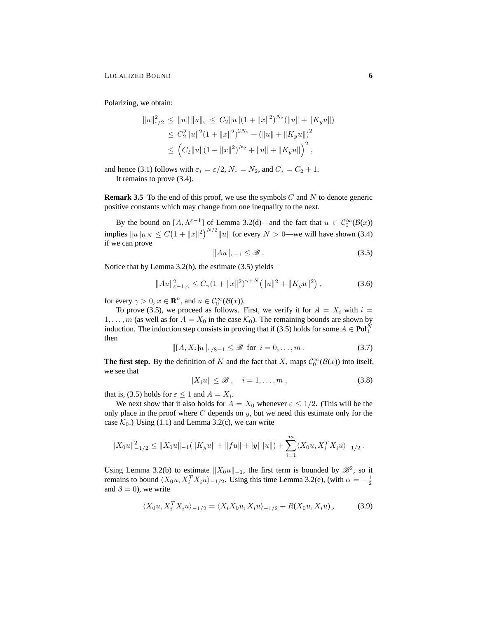Polarizing, we obtain:

$$
||u||_{\varepsilon/2}^{2} \leq ||u|| \, ||u||_{\varepsilon} \leq C_{2} ||u|| (1 + ||x||^{2})^{N_{2}} (||u|| + ||K_{y}u||)
$$
  
\n
$$
\leq C_{2}^{2} ||u||^{2} (1 + ||x||^{2})^{2N_{2}} + (||u|| + ||K_{y}u||)^{2}
$$
  
\n
$$
\leq (C_{2} ||u|| (1 + ||x||^{2})^{N_{2}} + ||u|| + ||K_{y}u||)^{2},
$$

and hence (3.1) follows with  $\varepsilon_* = \varepsilon/2$ ,  $N_* = N_2$ , and  $C_* = C_2 + 1$ . It remains to prove (3.4).

**Remark 3.5** To the end of this proof, we use the symbols  $C$  and  $N$  to denote generic positive constants which may change from one inequality to the next.

By the bound on  $[A, \Lambda^{\varepsilon-1}]$  of Lemma 3.2(d)—and the fact that  $u \in C_0^{\infty}(\mathcal{B}(x))$ implies  $||u||_{0,N} \leq C(1+||x||^2)^{N/2}||u||$  for every  $N > 0$ —we will have shown (3.4) if we can prove

$$
||Au||_{\varepsilon-1} \leq \mathcal{B} \tag{3.5}
$$

Notice that by Lemma 3.2(b), the estimate (3.5) yields

$$
||Au||_{\varepsilon-1,\gamma}^2 \le C_{\gamma} (1+||x||^2)^{\gamma+N} (||u||^2+||K_y u||^2), \qquad (3.6)
$$

for every  $\gamma > 0$ ,  $x \in \mathbb{R}^n$ , and  $u \in C_0^{\infty}(\mathcal{B}(x))$ .

To prove (3.5), we proceed as follows. First, we verify it for  $A = X_i$  with  $i =$  $1, \ldots, m$  (as well as for  $A = X_0$  in the case  $\mathcal{K}_0$ ). The remaining bounds are shown by induction. The induction step consists in proving that if (3.5) holds for some  $A \in \text{Pol}_1^N$ then

$$
||[A, X_i]u||_{\varepsilon/8 - 1} \le \mathcal{B} \text{ for } i = 0, \dots, m. \tag{3.7}
$$

**The first step.** By the definition of K and the fact that  $X_i$  maps  $C_0^{\infty}(\mathcal{B}(x))$  into itself, we see that

$$
||X_i u|| \leq \mathcal{B}, \quad i = 1, \dots, m \,, \tag{3.8}
$$

that is, (3.5) holds for  $\varepsilon \leq 1$  and  $A = X_i$ .

We next show that it also holds for  $A = X_0$  whenever  $\varepsilon \leq 1/2$ . (This will be the only place in the proof where  $C$  depends on  $y$ , but we need this estimate only for the case  $\mathcal{K}_0$ .) Using (1.1) and Lemma 3.2(c), we can write

$$
||X_0u||^2_{-1/2} \le ||X_0u||_{-1} (||K_yu|| + ||fu|| + |y|| ||u||) + \sum_{i=1}^m \langle X_0u, X_i^T X_iu \rangle_{-1/2}.
$$

Using Lemma 3.2(b) to estimate  $||X_0u||_{-1}$ , the first term is bounded by  $\mathscr{B}^2$ , so it remains to bound  $\langle X_0u, X_i^TX_iu\rangle_{-1/2}$ . Using this time Lemma 3.2(e), (with  $\alpha = -\frac{1}{2}$ and  $\beta = 0$ , we write

$$
\langle X_0 u, X_i^T X_i u \rangle_{-1/2} = \langle X_i X_0 u, X_i u \rangle_{-1/2} + R(X_0 u, X_i u) , \qquad (3.9)
$$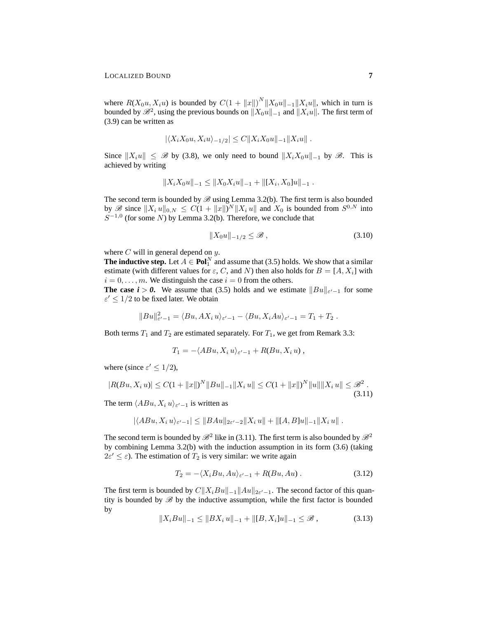where  $R(X_0u, X_iu)$  is bounded by  $C(1 + ||x||)^N ||X_0u||_{-1} ||X_iu||$ , which in turn is bounded by  $\mathscr{B}^2$ , using the previous bounds on  $||X_0u||_{-1}$  and  $||X_iu||$ . The first term of (3.9) can be written as

$$
|\langle X_i X_0 u, X_i u \rangle_{-1/2}| \leq C ||X_i X_0 u||_{-1} ||X_i u||
$$
.

Since  $||X_iu|| \leq \mathcal{B}$  by (3.8), we only need to bound  $||X_iX_0u||_{-1}$  by  $\mathcal{B}$ . This is achieved by writing

$$
||X_i X_0 u||_{-1} \le ||X_0 X_i u||_{-1} + ||[X_i, X_0] u||_{-1} .
$$

The second term is bounded by  $\mathscr B$  using Lemma 3.2(b). The first term is also bounded by  $\mathscr{B}$  since  $||X_i u||_{0,N} \leq C(1 + ||x||)^N ||X_i u||$  and  $X_0$  is bounded from  $S^{0,N}$  into  $S^{-1,0}$  (for some N) by Lemma 3.2(b). Therefore, we conclude that

$$
||X_0 u||_{-1/2} \le \mathcal{B} \,, \tag{3.10}
$$

where  $C$  will in general depend on  $y$ .

**The inductive step.** Let  $A \in \text{Pol}_1^N$  and assume that (3.5) holds. We show that a similar estimate (with different values for  $\varepsilon$ , C, and N) then also holds for  $B = [A, X_i]$  with  $i = 0, \ldots, m$ . We distinguish the case  $i = 0$  from the others.

**The case**  $i > 0$ **.** We assume that (3.5) holds and we estimate  $||Bu||_{\varepsilon'-1}$  for some  $\varepsilon' \leq 1/2$  to be fixed later. We obtain

$$
||Bu||_{\varepsilon'-1}^2 = \langle Bu, AX_i u \rangle_{\varepsilon'-1} - \langle Bu, X_i Au \rangle_{\varepsilon'-1} = T_1 + T_2.
$$

Both terms  $T_1$  and  $T_2$  are estimated separately. For  $T_1$ , we get from Remark 3.3:

$$
T_1 = -\langle ABu, X_i u \rangle_{\varepsilon' - 1} + R(Bu, X_i u) ,
$$

where (since  $\varepsilon' \leq 1/2$ ),

$$
|R(Bu, X_i u)| \le C(1 + ||x||)^N ||Bu||_{-1} ||X_i u|| \le C(1 + ||x||)^N ||u|| ||X_i u|| \le \mathcal{B}^2.
$$
\n(3.11)

The term  $\langle ABu, X_i u \rangle_{\varepsilon' - 1}$  is written as

$$
|\langle ABu, X_i u \rangle_{\varepsilon'-1}| \leq ||BAu||_{2\varepsilon'-2} ||X_i u|| + ||[A, B]u||_{-1} ||X_i u||.
$$

The second term is bounded by  $\mathscr{B}^2$  like in (3.11). The first term is also bounded by  $\mathscr{B}^2$ by combining Lemma 3.2(b) with the induction assumption in its form (3.6) (taking  $2\varepsilon' \leq \varepsilon$ ). The estimation of  $T_2$  is very similar: we write again

$$
T_2 = -\langle X_i B u, A u \rangle_{\varepsilon'-1} + R(B u, A u) . \tag{3.12}
$$

The first term is bounded by  $C||X_iBu||_{-1}||Au||_{2\varepsilon'-1}$ . The second factor of this quantity is bounded by  $\mathscr{B}$  by the inductive assumption, while the first factor is bounded by

$$
||X_iBu||_{-1} \le ||BX_i u||_{-1} + ||[B, X_i]u||_{-1} \le \mathcal{B}, \qquad (3.13)
$$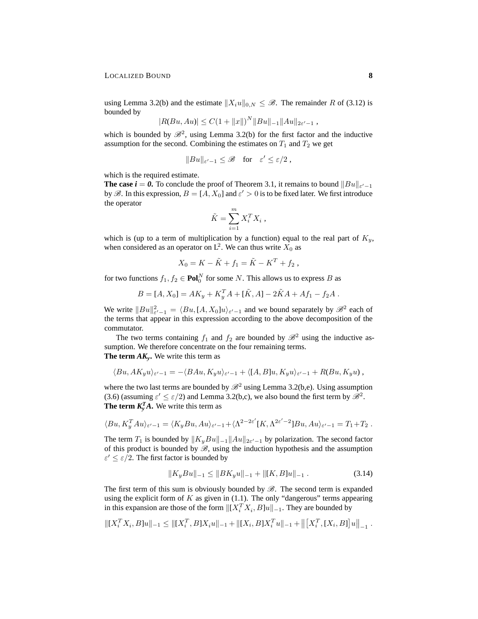using Lemma 3.2(b) and the estimate  $||X_iu||_{0,N} \leq \mathscr{B}$ . The remainder R of (3.12) is bounded by

$$
|R(Bu, Au)| \leq C(1 + ||x||)^N ||Bu||_{-1} ||Au||_{2\varepsilon'-1},
$$

which is bounded by  $\mathscr{B}^2$ , using Lemma 3.2(b) for the first factor and the inductive assumption for the second. Combining the estimates on  $T_1$  and  $T_2$  we get

$$
||Bu||_{\varepsilon'-1} \leq \mathscr{B} \quad \text{for} \quad \varepsilon' \leq \varepsilon/2 ,
$$

which is the required estimate.

**The case**  $i = 0$ . To conclude the proof of Theorem 3.1, it remains to bound  $||Bu||_{\varepsilon'-1}$ by  $\mathscr{B}$ . In this expression,  $B = [A, X_0]$  and  $\varepsilon' > 0$  is to be fixed later. We first introduce the operator

$$
\tilde{K} = \sum_{i=1}^{m} X_i^T X_i \;,
$$

which is (up to a term of multiplication by a function) equal to the real part of  $K_y$ , when considered as an operator on  $L^2$ . We can thus write  $X_0$  as

$$
X_0 = K - \tilde{K} + f_1 = \tilde{K} - K^T + f_2,
$$

for two functions  $f_1, f_2 \in \text{Pol}_0^N$  for some N. This allows us to express B as

$$
B = [A, X_0] = AK_y + K_y^T A + [\tilde{K}, A] - 2\tilde{K}A + Af_1 - f_2A.
$$

We write  $||Bu||_{\varepsilon'-1}^2 = \langle Bu, [A, X_0]u \rangle_{\varepsilon'-1}$  and we bound separately by  $\mathcal{B}^2$  each of the terms that appear in this expression according to the above decomposition of the commutator.

The two terms containing  $f_1$  and  $f_2$  are bounded by  $\mathcal{B}^2$  using the inductive assumption. We therefore concentrate on the four remaining terms. **The term**  $AK_y$ **.** We write this term as

$$
\langle Bu, AK_yu\rangle_{\varepsilon'-1}=-\langle BAu, Kyu\rangle_{\varepsilon'-1}+\langle [A,B]u, Kyu\rangle_{\varepsilon'-1}+R(Bu,K_yu),
$$

where the two last terms are bounded by  $\mathcal{B}^2$  using Lemma 3.2(b,e). Using assumption (3.6) (assuming  $\varepsilon' \leq \varepsilon/2$ ) and Lemma 3.2(b,c), we also bound the first term by  $\mathscr{B}^2$ . **The term**  $K_y^T A$ **.** We write this term as

$$
\langle Bu, K_y^T Au \rangle_{\varepsilon'-1} = \langle K_y Bu, Au \rangle_{\varepsilon'-1} + \langle \Lambda^{2-2\varepsilon'} [K, \Lambda^{2\varepsilon'-2}] Bu, Au \rangle_{\varepsilon'-1} = T_1 + T_2.
$$

The term  $T_1$  is bounded by  $||K_yBu||_{-1}||Au||_{2\varepsilon'-1}$  by polarization. The second factor of this product is bounded by  $\mathscr{B}$ , using the induction hypothesis and the assumption  $\varepsilon' \leq \varepsilon/2$ . The first factor is bounded by

$$
||K_yBu||_{-1} \le ||BK_yu||_{-1} + ||[K, B]u||_{-1}.
$$
\n(3.14)

The first term of this sum is obviously bounded by  $\mathscr{B}$ . The second term is expanded using the explicit form of  $K$  as given in (1.1). The only "dangerous" terms appearing in this expansion are those of the form  $\|[X_i^T X_i, B] u\|_{-1}$ . They are bounded by

$$
\left\|[X_i^T X_i, B]u\right\|_{-1} \le \left\|[X_i^T, B]X_i u\right\|_{-1} + \left\|[X_i, B]X_i^T u\right\|_{-1} + \left\|\left[X_i^T, [X_i, B]\right]u\right\|_{-1}.
$$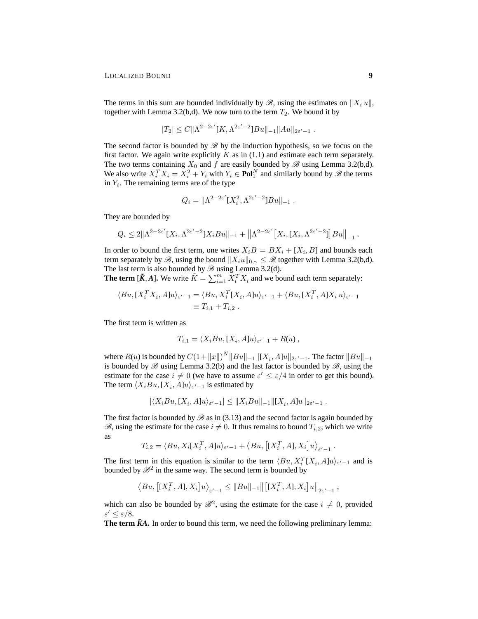The terms in this sum are bounded individually by  $\mathscr{B}$ , using the estimates on  $\|X_i u\|$ , together with Lemma 3.2(b,d). We now turn to the term  $T_2$ . We bound it by

$$
|T_2| \leq C \|\Lambda^{2-2\varepsilon'}[K,\Lambda^{2\varepsilon'-2}]Bu\|_{-1} \|Au\|_{2\varepsilon'-1} .
$$

The second factor is bounded by  $\mathscr{B}$  by the induction hypothesis, so we focus on the first factor. We again write explicitly  $K$  as in (1.1) and estimate each term separately. The two terms containing  $X_0$  and f are easily bounded by  $\mathscr{B}$  using Lemma 3.2(b,d). We also write  $X_i^T X_i = X_i^2 + Y_i$  with  $Y_i \in \text{Pol}_1^N$  and similarly bound by  $\mathscr{B}$  the terms in  $Y_i$ . The remaining terms are of the type

$$
Q_i = \|\Lambda^{2-2\varepsilon'}[X_i^2, \Lambda^{2\varepsilon'-2}]Bu\|_{-1}.
$$

They are bounded by

$$
Q_i \leq 2\|\Lambda^{2-2\varepsilon'}[X_i,\Lambda^{2\varepsilon'-2}]X_iBu\|_{-1} + \left\|\Lambda^{2-2\varepsilon'}[X_i,[X_i,\Lambda^{2\varepsilon'-2}]]Bu\right\|_{-1}.
$$

In order to bound the first term, one writes  $X_iB = BX_i + [X_i, B]$  and bounds each term separately by  $\mathscr{B}$ , using the bound  $||X_iu||_{0,\gamma} \leq \mathscr{B}$  together with Lemma 3.2(b,d). The last term is also bounded by  $\mathscr{B}$  using Lemma 3.2(d).

**The term**  $[\tilde{K}, A]$ **. We write**  $\tilde{K} = \sum_{i=1}^{m} X_i^T X_i$  **and we bound each term separately:** 

$$
\langle Bu, [X_i^T X_i, A]u \rangle_{\varepsilon'-1} = \langle Bu, X_i^T [X_i, A]u \rangle_{\varepsilon'-1} + \langle Bu, [X_i^T, A]X_i u \rangle_{\varepsilon'-1}
$$
  

$$
\equiv T_{i,1} + T_{i,2} .
$$

The first term is written as

$$
T_{i,1} = \langle X_i B u, [X_i, A] u \rangle_{\varepsilon' - 1} + R(u) ,
$$

where  $R(u)$  is bounded by  $C(1 + ||x||)^N ||Bu||_{-1} ||[X_i, A]u||_{2\varepsilon'-1}$ . The factor  $||Bu||_{-1}$ is bounded by  $\mathscr B$  using Lemma 3.2(b) and the last factor is bounded by  $\mathscr B$ , using the estimate for the case  $i \neq 0$  (we have to assume  $\varepsilon' \leq \varepsilon/4$  in order to get this bound). The term  $\langle X_iBu, [X_i, A]u \rangle_{\varepsilon'-1}$  is estimated by

$$
|\langle X_iBu, [X_i, A]u \rangle_{\varepsilon'-1}| \leq ||X_iBu||_{-1} ||[X_i, A]u||_{2\varepsilon'-1} .
$$

The first factor is bounded by  $\mathscr{B}$  as in (3.13) and the second factor is again bounded by  $\mathscr{B}$ , using the estimate for the case  $i \neq 0$ . It thus remains to bound  $T_{i,2}$ , which we write as

$$
T_{i,2} = \langle Bu, X_i[X_i^T, A]u \rangle_{\varepsilon'-1} + \langle Bu, \left[ [X_i^T, A], X_i \right] u \rangle_{\varepsilon'-1}
$$

.

,

The first term in this equation is similar to the term  $\langle Bu, X_i^T[X_i, A]u \rangle_{\varepsilon'-1}$  and is bounded by  $\mathcal{B}^2$  in the same way. The second term is bounded by

$$
\langle Bu, \left[ [X_i^T, A], X_i \right] u \rangle_{\varepsilon'-1} \leq ||Bu||_{-1} || \left[ [X_i^T, A], X_i \right] u ||_{2\varepsilon'-1}
$$

which can also be bounded by  $\mathcal{B}^2$ , using the estimate for the case  $i \neq 0$ , provided  $\varepsilon' \leq \varepsilon/8$ .

**The term**  $\tilde{K}A$ **. In order to bound this term, we need the following preliminary lemma:**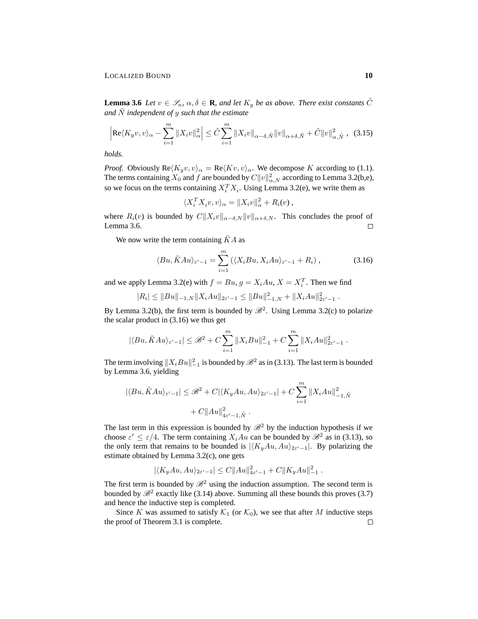**Lemma 3.6** *Let*  $v \in \mathcal{S}_n$ ,  $\alpha, \delta \in \mathbf{R}$ , and let  $K_y$  be as above. There exist constants  $\tilde{C}$ *and* N˜ *independent of* y *such that the estimate*

$$
\left| \text{Re}\langle K_y v, v \rangle_{\alpha} - \sum_{i=1}^{m} \|X_i v\|_{\alpha}^2 \right| \leq \tilde{C} \sum_{i=1}^{m} \|X_i v\|_{\alpha - \delta, \tilde{N}} \|v\|_{\alpha + \delta, \tilde{N}} + \tilde{C} \|v\|_{\alpha, \tilde{N}}^2, \quad (3.15)
$$

*holds.*

*Proof.* Obviously  $\text{Re}\langle K_u v, v \rangle_\alpha = \text{Re}\langle Kv, v \rangle_\alpha$ . We decompose K according to (1.1). The terms containing  $X_0$  and f are bounded by  $C||v||^2_{\alpha,N}$  according to Lemma 3.2(b,e), so we focus on the terms containing  $X_i^T X_i$ . Using Lemma 3.2(e), we write them as

$$
\langle X_i^T X_i v, v \rangle_\alpha = \|X_i v\|_\alpha^2 + R_i(v),
$$

where  $R_i(v)$  is bounded by  $C||X_i v||_{\alpha-\delta,N} ||v||_{\alpha+\delta,N}$ . This concludes the proof of Lemma 3.6.  $\Box$ 

We now write the term containing  $\tilde{K}A$  as

$$
\langle Bu, \tilde{K} Au \rangle_{\varepsilon'-1} = \sum_{i=1}^{m} \left( \langle X_i Bu, X_i Au \rangle_{\varepsilon'-1} + R_i \right), \tag{3.16}
$$

and we apply Lemma 3.2(e) with  $f = Bu$ ,  $g = X_i A u$ ,  $X = X_i^T$ . Then we find

$$
|R_i| \leq ||Bu||_{-1,N} ||X_iAu||_{2\varepsilon'-1} \leq ||Bu||_{-1,N}^2 + ||X_iAu||_{2\varepsilon'-1}^2.
$$

By Lemma 3.2(b), the first term is bounded by  $\mathcal{B}^2$ . Using Lemma 3.2(c) to polarize the scalar product in (3.16) we thus get

$$
|\langle Bu, \tilde{K} Au \rangle_{\varepsilon'-1}| \leq \mathscr{B}^2 + C \sum_{i=1}^m \|X_i B u\|_{-1}^2 + C \sum_{i=1}^m \|X_i A u\|_{2\varepsilon'-1}^2.
$$

The term involving  $\|X_iBu\|_{-1}^2$  is bounded by  $\mathscr{B}^2$  as in (3.13). The last term is bounded by Lemma 3.6, yielding

$$
|\langle Bu, \tilde{K}Au \rangle_{\varepsilon'-1}| \leq \mathcal{B}^2 + C|\langle K_y Au, Au \rangle_{2\varepsilon'-1}| + C \sum_{i=1}^m \|X_i Au\|_{-1, \tilde{N}}^2 + C \|Au\|_{4\varepsilon'-1, \tilde{N}}^2.
$$

The last term in this expression is bounded by  $\mathcal{B}^2$  by the induction hypothesis if we choose  $\varepsilon' \leq \varepsilon/4$ . The term containing  $X_i A u$  can be bounded by  $\mathcal{B}^2$  as in (3.13), so the only term that remains to be bounded is  $|\langle K_yAu, Au\rangle_{2\varepsilon'-1}|$ . By polarizing the estimate obtained by Lemma 3.2(c), one gets

$$
|\langle K_y Au, Au \rangle_{2\varepsilon'-1}| \leq C ||Au||^2_{4\varepsilon'-1} + C ||K_y Au||^2_{-1}.
$$

The first term is bounded by  $\mathcal{B}^2$  using the induction assumption. The second term is bounded by  $\mathscr{B}^2$  exactly like (3.14) above. Summing all these bounds this proves (3.7) and hence the inductive step is completed.

Since K was assumed to satisfy  $\mathcal{K}_1$  (or  $\mathcal{K}_0$ ), we see that after M inductive steps the proof of Theorem 3.1 is complete. $\Box$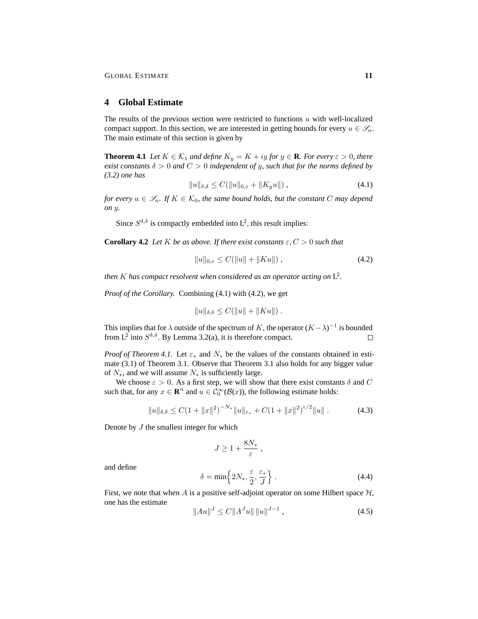# **4 Global Estimate**

The results of the previous section were restricted to functions  $u$  with well-localized compact support. In this section, we are interested in getting bounds for every  $u \in \mathscr{S}_n$ . The main estimate of this section is given by

**Theorem 4.1** *Let*  $K \in \mathcal{K}_1$  *and define*  $K_y = K + iy$  *for*  $y \in \mathbf{R}$ *. For every*  $\varepsilon > 0$ *, there exist constants*  $\delta > 0$  *and*  $C > 0$  *independent of y, such that for the norms defined by (3.2) one has*

$$
||u||_{\delta,\delta} \le C(||u||_{0,\varepsilon} + ||K_y u||), \tag{4.1}
$$

*for every*  $u \in \mathscr{S}_n$ . If  $K \in \mathcal{K}_0$ , the same bound holds, but the constant C may depend *on* y*.*

Since  $S^{\delta,\delta}$  is compactly embedded into  $L^2$ , this result implies:

**Corollary 4.2** *Let* K *be as above. If there exist constants*  $\varepsilon$ ,  $C > 0$  *such that* 

$$
||u||_{0,\varepsilon} \le C(||u|| + ||Ku||), \tag{4.2}
$$

then  $K$  has compact resolvent when considered as an operator acting on  $L^2$ .

*Proof of the Corollary.* Combining (4.1) with (4.2), we get

$$
||u||_{\delta,\delta} \leq C(||u|| + ||Ku||).
$$

This implies that for  $\lambda$  outside of the spectrum of K, the operator  $(K - \lambda)^{-1}$  is bounded from L<sup>2</sup> into  $S^{\delta,\delta}$ . By Lemma 3.2(a), it is therefore compact. П

*Proof of Theorem 4.1.* Let  $\varepsilon_*$  and  $N_*$  be the values of the constants obtained in estimate (3.1) of Theorem 3.1. Observe that Theorem 3.1 also holds for any bigger value of  $N_*$ , and we will assume  $N_*$  is sufficiently large.

We choose  $\varepsilon > 0$ . As a first step, we will show that there exist constants  $\delta$  and  $C$ such that, for any  $x \in \mathbb{R}^n$  and  $u \in C_0^{\infty}(\mathcal{B}(x))$ , the following estimate holds:

$$
||u||_{\delta,\delta} \leq C(1+||x||^2)^{-N_*}||u||_{\varepsilon_*} + C(1+||x||^2)^{\varepsilon/2}||u||. \tag{4.3}
$$

Denote by  $J$  the smallest integer for which

$$
J \geq 1 + \frac{8N_*}{\varepsilon} \; ,
$$

and define

$$
\delta = \min\left\{2N_*, \frac{\varepsilon}{2}, \frac{\varepsilon_*}{J}\right\}.
$$
\n(4.4)

First, we note that when A is a positive self-adjoint operator on some Hilbert space  $H$ , one has the estimate

$$
||Au||^J \le C||A^J u|| ||u||^{J-1}, \qquad (4.5)
$$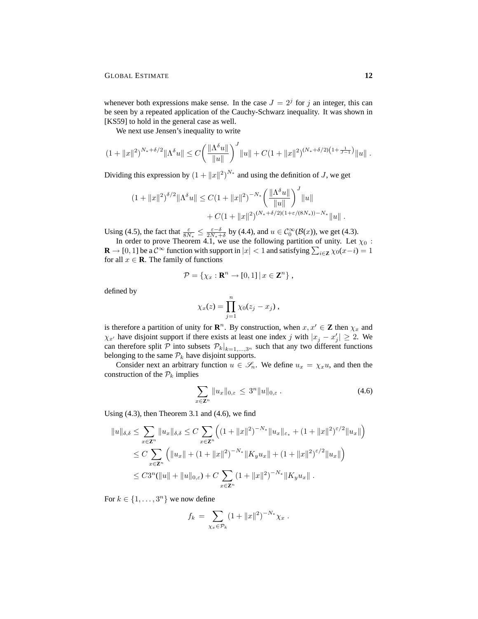whenever both expressions make sense. In the case  $J = 2<sup>j</sup>$  for j an integer, this can be seen by a repeated application of the Cauchy-Schwarz inequality. It was shown in [KS59] to hold in the general case as well.

We next use Jensen's inequality to write

$$
(1+\|x\|^2)^{N_*+\delta/2}\|\Lambda^{\delta}u\| \leq C\bigg(\frac{\|\Lambda^{\delta}u\|}{\|u\|}\bigg)^J\|u\| + C(1+\|x\|^2)^{(N_*+\delta/2)\left(1+\frac{1}{J-1}\right)}\|u\|.
$$

Dividing this expression by  $(1 + ||x||^2)^{N_*}$  and using the definition of J, we get

$$
(1 + ||x||^2)^{\delta/2} ||\Lambda^{\delta} u|| \leq C (1 + ||x||^2)^{-N_*} \left( \frac{||\Lambda^{\delta} u||}{||u||} \right)^J ||u||
$$
  
+  $C (1 + ||x||^2)^{(N_* + \delta/2)(1 + \varepsilon/(8N_*))-N_*} ||u||.$ 

Using (4.5), the fact that  $\frac{\varepsilon}{8N_*} \leq \frac{\varepsilon - \delta}{2N_* + \delta}$  by (4.4), and  $u \in C_0^{\infty}(\mathcal{B}(x))$ , we get (4.3).

In order to prove Theorem 4.1, we use the following partition of unity. Let  $\chi_0$ : **R**  $\rightarrow$  [0, 1] be a  $\mathcal{C}^{\infty}$  function with support in  $|x| < 1$  and satisfying  $\sum_{i \in \mathbf{Z}} \chi_0(x-i) = 1$ for all  $x \in \mathbf{R}$ . The family of functions

$$
\mathcal{P} = \{ \chi_x : \mathbf{R}^n \to [0,1] \, \vert \, x \in \mathbf{Z}^n \},
$$

defined by

$$
\chi_x(z) = \prod_{j=1}^n \chi_0(z_j - x_j) ,
$$

is therefore a partition of unity for  $\mathbb{R}^n$ . By construction, when  $x, x' \in \mathbb{Z}$  then  $\chi_x$  and  $\chi_{x'}$  have disjoint support if there exists at least one index j with  $|x_j - x'_j| \ge 2$ . We can therefore split P into subsets  $P_k|_{k=1,\ldots,3^n}$  such that any two different functions belonging to the same  $P_k$  have disjoint supports.

Consider next an arbitrary function  $u \in \mathcal{S}_n$ . We define  $u_x = \chi_x u$ , and then the construction of the  $P_k$  implies

$$
\sum_{x \in \mathbf{Z}^n} \|u_x\|_{0,\varepsilon} \le 3^n \|u\|_{0,\varepsilon} \,. \tag{4.6}
$$

Using (4.3), then Theorem 3.1 and (4.6), we find

$$
||u||_{\delta,\delta} \leq \sum_{x \in \mathbb{Z}^n} ||u_x||_{\delta,\delta} \leq C \sum_{x \in \mathbb{Z}^n} \left( (1 + ||x||^2)^{-N_*} ||u_x||_{\varepsilon_*} + (1 + ||x||^2)^{\varepsilon/2} ||u_x|| \right)
$$
  
\n
$$
\leq C \sum_{x \in \mathbb{Z}^n} \left( ||u_x|| + (1 + ||x||^2)^{-N_*} ||K_y u_x|| + (1 + ||x||^2)^{\varepsilon/2} ||u_x|| \right)
$$
  
\n
$$
\leq C 3^n (||u|| + ||u||_{0,\varepsilon}) + C \sum_{x \in \mathbb{Z}^n} (1 + ||x||^2)^{-N_*} ||K_y u_x||.
$$

For  $k \in \{1, \ldots, 3^n\}$  we now define

$$
f_k = \sum_{\chi_x \in \mathcal{P}_k} (1 + ||x||^2)^{-N_*} \chi_x.
$$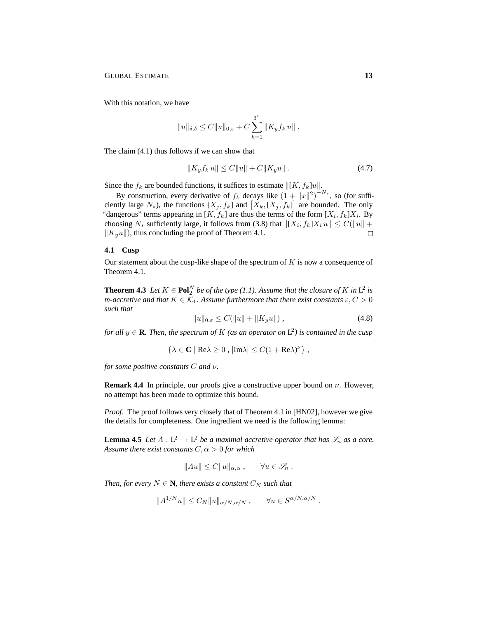With this notation, we have

$$
||u||_{\delta,\delta} \leq C||u||_{0,\varepsilon} + C \sum_{k=1}^{3^n} ||K_y f_k u||.
$$

The claim (4.1) thus follows if we can show that

$$
||K_y f_k u|| \le C||u|| + C||K_y u||. \tag{4.7}
$$

Since the  $f_k$  are bounded functions, it suffices to estimate  $\|[K, f_k]u\|$ .

By construction, every derivative of  $f_k$  decays like  $(1 + ||x||^2)^{-N_*}$ , so (for sufficiently large  $N_*$ ), the functions  $[X_j, f_k]$  and  $[X_k, [X_j, f_k]]$  are bounded. The only "dangerous" terms appearing in [K,  $f_k$ ] are thus the terms of the form [ $X_i$ ,  $f_k$ ] $X_i$ . By choosing  $N_*$  sufficiently large, it follows from (3.8) that  $\|[X_i, f_k]X_i u\| \le C(\|u\| +$  $\|K_{y}u\|$ , thus concluding the proof of Theorem 4.1.  $\Box$ 

### **4.1 Cusp**

Our statement about the cusp-like shape of the spectrum of  $K$  is now a consequence of Theorem 4.1.

**Theorem 4.3** Let  $K \in \text{Pol}_2^N$  be of the type (1.1). Assume that the closure of K in  $L^2$  is *m*-accretive and that  $K \in \mathcal{K}_1$ . Assume furthermore that there exist constants  $\varepsilon, C > 0$ *such that*

$$
||u||_{0,\varepsilon} \le C(||u|| + ||K_y u||), \tag{4.8}
$$

for all  $y \in \mathbf{R}$ *. Then, the spectrum of*  $K$  (as an operator on  $L^2$ ) is contained in the cusp

$$
\{\lambda \in \mathbf{C} \mid \text{Re}\lambda \ge 0, \, |\text{Im}\lambda| \le C(1 + \text{Re}\lambda)^{\nu}\},
$$

*for some positive constants* C *and* ν*.*

**Remark 4.4** In principle, our proofs give a constructive upper bound on  $\nu$ . However, no attempt has been made to optimize this bound.

*Proof.* The proof follows very closely that of Theorem 4.1 in [HN02], however we give the details for completeness. One ingredient we need is the following lemma:

**Lemma 4.5** *Let*  $A : L^2 \to L^2$  *be a maximal accretive operator that has*  $\mathscr{S}_n$  *as a core. Assume there exist constants*  $C, \alpha > 0$  *for which* 

$$
||Au|| \leq C ||u||_{\alpha,\alpha}, \qquad \forall u \in \mathscr{S}_n .
$$

*Then, for every*  $N \in \mathbb{N}$ *, there exists a constant*  $C_N$  *such that* 

$$
||A^{1/N}u|| \leq C_N ||u||_{\alpha/N,\alpha/N}, \qquad \forall u \in S^{\alpha/N,\alpha/N}.
$$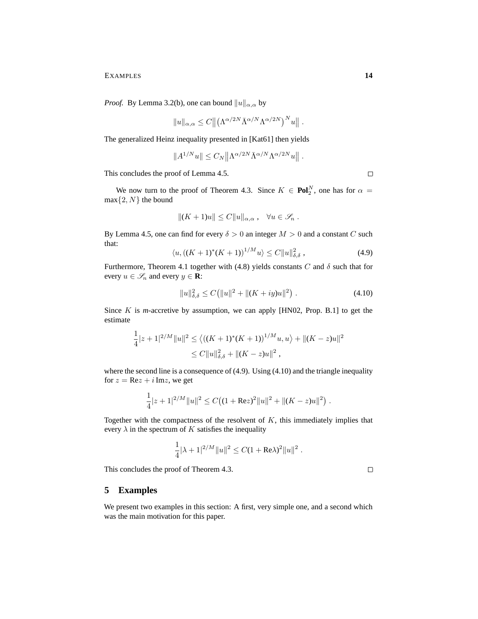*Proof.* By Lemma 3.2(b), one can bound  $||u||_{\alpha,\alpha}$  by

$$
||u||_{\alpha,\alpha} \leq C ||(\Lambda^{\alpha/2N} \bar{\Lambda}^{\alpha/N} \Lambda^{\alpha/2N})^N u||.
$$

The generalized Heinz inequality presented in [Kat61] then yields

$$
||A^{1/N}u|| \leq C_N ||\Lambda^{\alpha/2N} \overline{\Lambda}^{\alpha/N} \Lambda^{\alpha/2N} u||.
$$

This concludes the proof of Lemma 4.5.

We now turn to the proof of Theorem 4.3. Since  $K \in \text{Pol}_2^N$ , one has for  $\alpha =$  $max{2, N}$  the bound

$$
||(K+1)u|| \leq C||u||_{\alpha,\alpha}, \quad \forall u \in \mathscr{S}_n.
$$

By Lemma 4.5, one can find for every  $\delta > 0$  an integer  $M > 0$  and a constant C such that:

$$
\langle u, ((K+1)^*(K+1))^{1/M} u \rangle \le C \|u\|_{\delta, \delta}^2 , \qquad (4.9)
$$

Furthermore, Theorem 4.1 together with (4.8) yields constants  $C$  and  $\delta$  such that for every  $u \in \mathcal{S}_n$  and every  $y \in \mathbf{R}$ :

$$
||u||_{\delta,\delta}^2 \le C(||u||^2 + ||(K+iy)u||^2) . \tag{4.10}
$$

Since K is *m*-accretive by assumption, we can apply [HN02, Prop. B.1] to get the estimate

$$
\frac{1}{4}|z+1|^{2/M}||u||^2 \le \langle ((K+1)^*(K+1))^{1/M}u, u \rangle + ||(K-z)u||^2
$$
  

$$
\le C||u||_{\delta, \delta}^2 + ||(K-z)u||^2,
$$

where the second line is a consequence of (4.9). Using (4.10) and the triangle inequality for  $z = \text{Re}z + i \text{Im}z$ , we get

$$
\frac{1}{4}|z+1|^{2/M}||u||^2 \leq C\big((1+Rez)^2||u||^2+||(K-z)u||^2\big).
$$

Together with the compactness of the resolvent of  $K$ , this immediately implies that every  $\lambda$  in the spectrum of K satisfies the inequality

$$
\frac{1}{4}|\lambda + 1|^{2/M}||u||^2 \leq C(1 + \text{Re}\lambda)^2||u||^2.
$$

This concludes the proof of Theorem 4.3.

 $\Box$ 

## **5 Examples**

1

We present two examples in this section: A first, very simple one, and a second which was the main motivation for this paper.

 $\Box$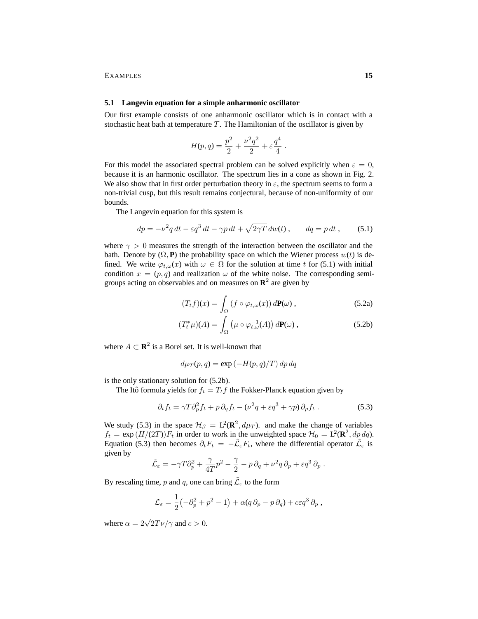#### **5.1 Langevin equation for a simple anharmonic oscillator**

Our first example consists of one anharmonic oscillator which is in contact with a stochastic heat bath at temperature  $T$ . The Hamiltonian of the oscillator is given by

$$
H(p,q) = \frac{p^2}{2} + \frac{\nu^2 q^2}{2} + \varepsilon \frac{q^4}{4}.
$$

For this model the associated spectral problem can be solved explicitly when  $\varepsilon = 0$ , because it is an harmonic oscillator. The spectrum lies in a cone as shown in Fig. 2. We also show that in first order perturbation theory in  $\varepsilon$ , the spectrum seems to form a non-trivial cusp, but this result remains conjectural, because of non-uniformity of our bounds.

The Langevin equation for this system is

$$
dp = -\nu^2 q dt - \varepsilon q^3 dt - \gamma p dt + \sqrt{2\gamma T} dw(t) , \qquad dq = p dt , \qquad (5.1)
$$

where  $\gamma > 0$  measures the strength of the interaction between the oscillator and the bath. Denote by  $(\Omega, \mathbf{P})$  the probability space on which the Wiener process  $w(t)$  is defined. We write  $\varphi_{t,\omega}(x)$  with  $\omega \in \Omega$  for the solution at time t for (5.1) with initial condition  $x = (p, q)$  and realization  $\omega$  of the white noise. The corresponding semigroups acting on observables and on measures on  $\mathbb{R}^2$  are given by

$$
(T_t f)(x) = \int_{\Omega} \left( f \circ \varphi_{t,\omega}(x) \right) d\mathbf{P}(\omega) , \qquad (5.2a)
$$

$$
(T_t^*\mu)(A) = \int_{\Omega} \left(\mu \circ \varphi_{t,\omega}^{-1}(A)\right) d\mathbf{P}(\omega) , \qquad (5.2b)
$$

where  $A \subset \mathbb{R}^2$  is a Borel set. It is well-known that

$$
d\mu_T(p,q) = \exp(-H(p,q)/T) dp dq
$$

is the only stationary solution for (5.2b).

The Itô formula yields for  $f_t = T_t f$  the Fokker-Planck equation given by

$$
\partial_t f_t = \gamma T \partial_p^2 f_t + p \, \partial_q f_t - (\nu^2 q + \varepsilon q^3 + \gamma p) \, \partial_p f_t \,. \tag{5.3}
$$

We study (5.3) in the space  $\mathcal{H}_{\beta} = L^2(\mathbf{R}^2, d\mu_T)$ . and make the change of variables  $f_t = \exp(H/(2T))F_t$  in order to work in the unweighted space  $\mathcal{H}_0 = L^2(\mathbf{R}^2, dp \, dq)$ . Equation (5.3) then becomes  $\partial_t F_t = -\tilde{\mathcal{L}}_{\varepsilon} F_t$ , where the differential operator  $\tilde{\mathcal{L}}_{\varepsilon}$  is given by

$$
\tilde{\mathcal{L}}_{\varepsilon} = -\gamma T \partial_p^2 + \frac{\gamma}{4T} p^2 - \frac{\gamma}{2} - p \, \partial_q + \nu^2 q \, \partial_p + \varepsilon q^3 \, \partial_p \; .
$$

By rescaling time, p and q, one can bring  $\tilde{\mathcal{L}}_{\varepsilon}$  to the form

$$
\mathcal{L}_{\varepsilon} = \frac{1}{2} \left( -\partial_p^2 + p^2 - 1 \right) + \alpha (q \, \partial_p - p \, \partial_q) + c \varepsilon q^3 \, \partial_p ,
$$

where  $\alpha = 2\sqrt{2T}\nu/\gamma$  and  $c > 0$ .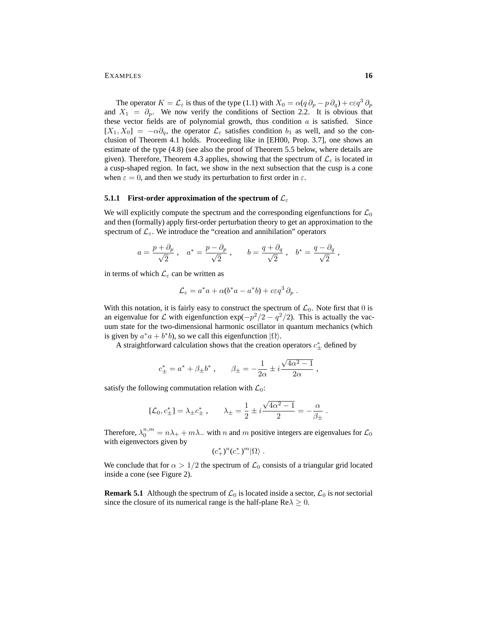#### EXAMPLES **16**

The operator  $K = \mathcal{L}_{\varepsilon}$  is thus of the type (1.1) with  $X_0 = \alpha(q \partial_p - p \partial_q) + c \varepsilon q^3 \partial_p$ and  $X_1 = \partial_p$ . We now verify the conditions of Section 2.2. It is obvious that these vector fields are of polynomial growth, thus condition  $a$  is satisfied. Since  $[X_1, X_0] = -\alpha \partial_q$ , the operator  $\mathcal{L}_{\varepsilon}$  satisfies condition  $b_1$  as well, and so the conclusion of Theorem 4.1 holds. Proceeding like in [EH00, Prop. 3.7], one shows an estimate of the type (4.8) (see also the proof of Theorem 5.5 below, where details are given). Therefore, Theorem 4.3 applies, showing that the spectrum of  $\mathcal{L}_{\varepsilon}$  is located in a cusp-shaped region. In fact, we show in the next subsection that the cusp is a cone when  $\varepsilon = 0$ , and then we study its perturbation to first order in  $\varepsilon$ .

# **5.1.1 First-order approximation of the spectrum of**  $\mathcal{L}_{\varepsilon}$

We will explicitly compute the spectrum and the corresponding eigenfunctions for  $\mathcal{L}_0$ and then (formally) apply first-order perturbation theory to get an approximation to the spectrum of  $\mathcal{L}_{\varepsilon}$ . We introduce the "creation and annihilation" operators

$$
a=\frac{p+\partial_p}{\sqrt{2}}\;,\ \ \, a^*=\frac{p-\partial_p}{\sqrt{2}}\;,\quad \ \ \, b=\frac{q+\partial_q}{\sqrt{2}}\;,\ \ \, b^*=\frac{q-\partial_q}{\sqrt{2}}\;,\ \ \,
$$

in terms of which  $\mathcal{L}_{\varepsilon}$  can be written as

$$
\mathcal{L}_{\varepsilon} = a^* a + \alpha (b^* a - a^* b) + c \varepsilon q^3 \partial_p.
$$

With this notation, it is fairly easy to construct the spectrum of  $\mathcal{L}_0$ . Note first that 0 is an eigenvalue for L with eigenfunction  $\exp(-p^2/2 - q^2/2)$ . This is actually the vacuum state for the two-dimensional harmonic oscillator in quantum mechanics (which is given by  $a^*a + b^*b$ , so we call this eigenfunction  $|\Omega\rangle$ .

A straightforward calculation shows that the creation operators  $c^*_{\pm}$  defined by

$$
c_{\pm}^* = a^* + \beta_{\pm}b^*
$$
,  $\beta_{\pm} = -\frac{1}{2\alpha} \pm i\frac{\sqrt{4\alpha^2 - 1}}{2\alpha}$ ,

satisfy the following commutation relation with  $\mathcal{L}_0$ :

$$
[\mathcal{L}_0, c^*_{\pm}] = \lambda_{\pm} c^*_{\pm} , \qquad \lambda_{\pm} = \frac{1}{2} \pm i \frac{\sqrt{4\alpha^2 - 1}}{2} = -\frac{\alpha}{\beta_{\pm}}.
$$

Therefore,  $\lambda_0^{n,m} = n\lambda_+ + m\lambda_-$  with n and m positive integers are eigenvalues for  $\mathcal{L}_0$ with eigenvectors given by

$$
(c^*_+)^n(c^*_-)^m|\Omega\rangle\;.
$$

We conclude that for  $\alpha > 1/2$  the spectrum of  $\mathcal{L}_0$  consists of a triangular grid located inside a cone (see Figure 2).

**Remark 5.1** Although the spectrum of  $\mathcal{L}_0$  is located inside a sector,  $\mathcal{L}_0$  is *not* sectorial since the closure of its numerical range is the half-plane  $\text{Re}\lambda \geq 0$ .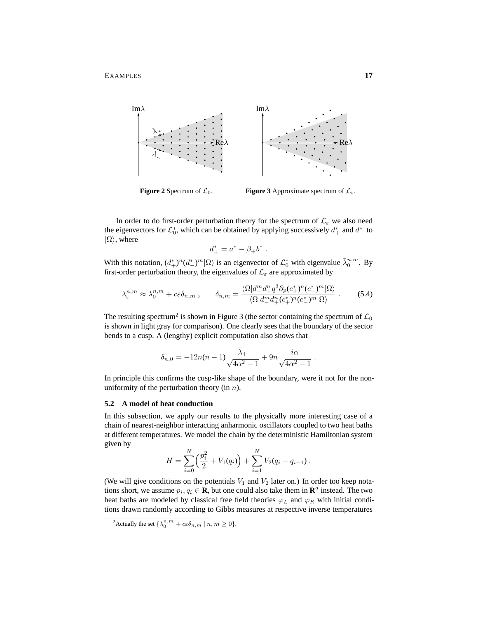

**Figure 2** Spectrum of  $\mathcal{L}_0$ . **Figure 3** Approximate spectrum of  $\mathcal{L}_{\varepsilon}$ .

.

.

In order to do first-order perturbation theory for the spectrum of  $\mathcal{L}_{\varepsilon}$  we also need the eigenvectors for  $\mathcal{L}_0^*$ , which can be obtained by applying successively  $d^*_+$  and  $d^*_-$  to  $|\Omega\rangle$ , where

$$
d_{\pm}^* = a^* - \beta_{\mp} b^*
$$

With this notation,  $(d^*_{+})^n(d^*_{-})^m|\Omega\rangle$  is an eigenvector of  $\mathcal{L}_0^*$  with eigenvalue  $\bar{\lambda}_0^{n,m}$ . By first-order perturbation theory, the eigenvalues of  $\mathcal{L}_{\varepsilon}$  are approximated by

$$
\lambda_{\varepsilon}^{n,m} \approx \lambda_0^{n,m} + c\varepsilon \delta_{n,m} , \qquad \delta_{n,m} = \frac{\langle \Omega | d_-^m d_+^n q^3 \partial_p (c_+^*)^n (c_-^*)^m | \Omega \rangle}{\langle \Omega | d_-^m d_+^n (c_+^*)^n (c_-^*)^m | \Omega \rangle} . \tag{5.4}
$$

The resulting spectrum<sup>2</sup> is shown in Figure 3 (the sector containing the spectrum of  $\mathcal{L}_0$ is shown in light gray for comparison). One clearly sees that the boundary of the sector bends to a cusp. A (lengthy) explicit computation also shows that

$$
\delta_{n,0} = -12n(n-1)\frac{\bar{\lambda}_{+}}{\sqrt{4\alpha^{2}-1}} + 9n\frac{i\alpha}{\sqrt{4\alpha^{2}-1}}
$$

In principle this confirms the cusp-like shape of the boundary, were it not for the nonuniformity of the perturbation theory (in  $n$ ).

### **5.2 A model of heat conduction**

In this subsection, we apply our results to the physically more interesting case of a chain of nearest-neighbor interacting anharmonic oscillators coupled to two heat baths at different temperatures. We model the chain by the deterministic Hamiltonian system given by

$$
H = \sum_{i=0}^{N} \left( \frac{p_i^2}{2} + V_1(q_i) \right) + \sum_{i=1}^{N} V_2(q_i - q_{i-1}).
$$

(We will give conditions on the potentials  $V_1$  and  $V_2$  later on.) In order too keep notations short, we assume  $p_i, q_i \in \mathbf{R}$ , but one could also take them in  $\mathbf{R}^d$  instead. The two heat baths are modeled by classical free field theories  $\varphi_L$  and  $\varphi_R$  with initial conditions drawn randomly according to Gibbs measures at respective inverse temperatures

<sup>&</sup>lt;sup>2</sup>Actually the set  $\{\lambda_0^{n,m} + c \varepsilon \delta_{n,m} \mid n, m \ge 0\}.$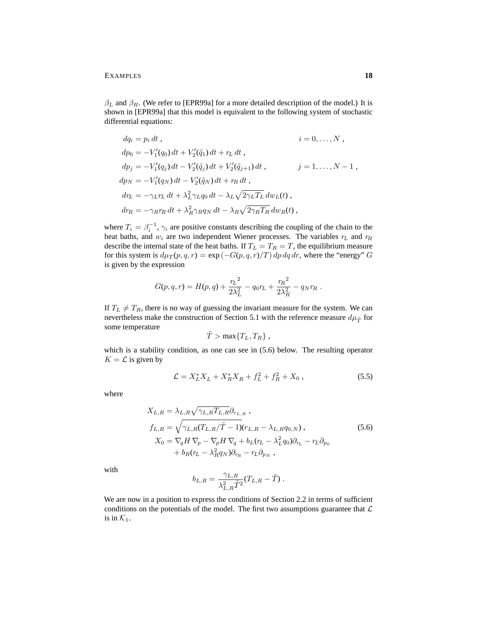$\beta_L$  and  $\beta_R$ . (We refer to [EPR99a] for a more detailed description of the model.) It is shown in [EPR99a] that this model is equivalent to the following system of stochastic differential equations:

$$
dq_i = p_i dt, \qquad i = 0, \dots, N,
$$
  
\n
$$
dp_0 = -V'_1(q_0) dt + V'_2(\tilde{q}_1) dt + r_L dt,
$$
  
\n
$$
dp_j = -V'_1(q_j) dt - V'_2(\tilde{q}_j) dt + V'_2(\tilde{q}_{j+1}) dt, \qquad j = 1, \dots, N - 1,
$$
  
\n
$$
dp_N = -V'_1(q_N) dt - V'_2(\tilde{q}_N) dt + r_R dt,
$$
  
\n
$$
dr_L = -\gamma_L r_L dt + \lambda_L^2 \gamma_L q_0 dt - \lambda_L \sqrt{2\gamma_L T_L} dw_L(t),
$$
  
\n
$$
dr_R = -\gamma_R r_R dt + \lambda_R^2 \gamma_R q_N dt - \lambda_R \sqrt{2\gamma_R T_R} dw_R(t),
$$

where  $T_i = \beta_i^{-1}$ ,  $\gamma_i$  are positive constants describing the coupling of the chain to the heat baths, and  $w_i$  are two independent Wiener processes. The variables  $r_L$  and  $r_R$ describe the internal state of the heat baths. If  $T_L = T_R = T$ , the equilibrium measure for this system is  $d\mu_T(p,q,r) = \exp(-G(p,q,r)/T) dp dq dr$ , where the "energy" G is given by the expression

$$
G(p,q,r) = H(p,q) + \frac{r_L^2}{2\lambda_L^2} - q_0 r_L + \frac{r_R^2}{2\lambda_R^2} - q_N r_R.
$$

If  $T_L \neq T_R$ , there is no way of guessing the invariant measure for the system. We can nevertheless make the construction of Section 5.1 with the reference measure  $d\mu_{\tilde{T}}$  for some temperature

$$
\tilde{T} > \max\{T_L, T_R\},\,
$$

which is a stability condition, as one can see in  $(5.6)$  below. The resulting operator  $K = \mathcal{L}$  is given by

$$
\mathcal{L} = X_L^* X_L + X_R^* X_R + f_L^2 + f_R^2 + X_0 , \qquad (5.5)
$$

where

$$
X_{L,R} = \lambda_{L,R} \sqrt{\gamma_{L,R} T_{L,R}} \partial_{r_{L,R}},
$$
  
\n
$$
f_{L,R} = \sqrt{\gamma_{L,R} (T_{L,R}/\tilde{T} - 1)} (r_{L,R} - \lambda_{L,R} q_{0,N}),
$$
  
\n
$$
X_0 = \nabla_q H \nabla_p - \nabla_p H \nabla_q + b_L (r_L - \lambda_L^2 q_0) \partial_{r_L} - r_L \partial_{p_0}
$$
  
\n
$$
+ b_R (r_L - \lambda_R^2 q_N) \partial_{r_R} - r_L \partial_{p_N},
$$
\n(5.6)

with

$$
b_{L,R} = \frac{\gamma_{L,R}}{\lambda_{L,R}^2 \tilde T^2} (T_{L,R} - \tilde T) \; .
$$

We are now in a position to express the conditions of Section 2.2 in terms of sufficient conditions on the potentials of the model. The first two assumptions guarantee that  $\mathcal L$ is in  $\mathcal{K}_1$ .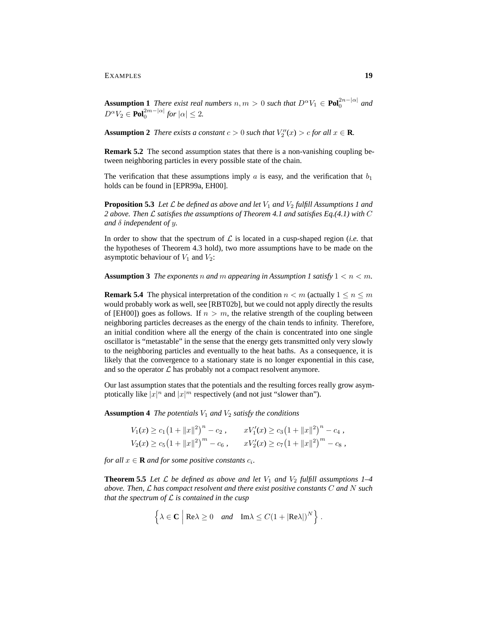EXAMPLES **19**

**Assumption 1** *There exist real numbers*  $n, m > 0$  *such that*  $D^{\alpha}V_1 \in \text{Pol}_0^{2n-|\alpha|}$  *and*  $D^{\alpha}V_2 \in \text{Pol}_0^{2m-|\alpha|}$  for  $|\alpha| \leq 2$ .

**Assumption 2** *There exists a constant*  $c > 0$  *such that*  $V''_2(x) > c$  *for all*  $x \in \mathbf{R}$ *.* 

**Remark 5.2** The second assumption states that there is a non-vanishing coupling between neighboring particles in every possible state of the chain.

The verification that these assumptions imply a is easy, and the verification that  $b_1$ holds can be found in [EPR99a, EH00].

**Proposition 5.3** Let  $\mathcal L$  be defined as above and let  $V_1$  and  $V_2$  fulfill Assumptions 1 and *2 above. Then* L *satisfies the assumptions of Theorem 4.1 and satisfies Eq.(4.1) with* C *and* δ *independent of* y*.*

In order to show that the spectrum of  $\mathcal L$  is located in a cusp-shaped region (*i.e.* that the hypotheses of Theorem 4.3 hold), two more assumptions have to be made on the asymptotic behaviour of  $V_1$  and  $V_2$ :

**Assumption 3** *The exponents* n *and* m appearing in Assumption 1 satisfy  $1 \leq n \leq m$ .

**Remark 5.4** The physical interpretation of the condition  $n < m$  (actually  $1 < n < m$ ) would probably work as well, see [RBT02b], but we could not apply directly the results of [EH00]) goes as follows. If  $n > m$ , the relative strength of the coupling between neighboring particles decreases as the energy of the chain tends to infinity. Therefore, an initial condition where all the energy of the chain is concentrated into one single oscillator is "metastable" in the sense that the energy gets transmitted only very slowly to the neighboring particles and eventually to the heat baths. As a consequence, it is likely that the convergence to a stationary state is no longer exponential in this case, and so the operator  $\mathcal L$  has probably not a compact resolvent anymore.

Our last assumption states that the potentials and the resulting forces really grow asymptotically like  $|x|^n$  and  $|x|^m$  respectively (and not just "slower than").

**Assumption 4** *The potentials*  $V_1$  *and*  $V_2$  *satisfy the conditions* 

$$
V_1(x) \ge c_1 (1 + ||x||^2)^n - c_2, \qquad xV'_1(x) \ge c_3 (1 + ||x||^2)^n - c_4,
$$
  
\n
$$
V_2(x) \ge c_5 (1 + ||x||^2)^m - c_6, \qquad xV'_2(x) \ge c_7 (1 + ||x||^2)^m - c_8,
$$

*for all*  $x \in \mathbf{R}$  *and for some positive constants*  $c_i$ *.* 

**Theorem 5.5** *Let*  $\mathcal{L}$  *be defined as above and let*  $V_1$  *and*  $V_2$  *fulfill assumptions 1–4 above. Then,* L *has compact resolvent and there exist positive constants* C *and* N *such that the spectrum of* L *is contained in the cusp*

$$
\left\{\lambda \in \mathbf{C} \middle| \text{Re}\lambda \ge 0 \quad \text{and} \quad \text{Im}\lambda \le C(1 + |\text{Re}\lambda|)^N \right\}.
$$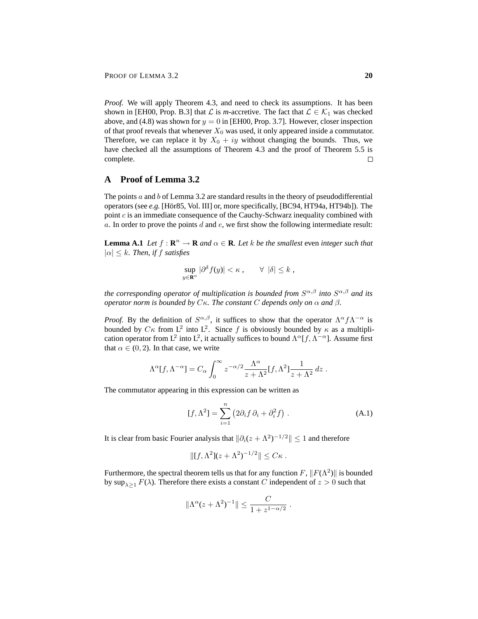*Proof.* We will apply Theorem 4.3, and need to check its assumptions. It has been shown in [EH00, Prop. B.3] that  $\mathcal L$  is *m*-accretive. The fact that  $\mathcal L \in \mathcal K_1$  was checked above, and (4.8) was shown for  $y = 0$  in [EH00, Prop. 3.7]. However, closer inspection of that proof reveals that whenever  $X_0$  was used, it only appeared inside a commutator. Therefore, we can replace it by  $X_0 + iy$  without changing the bounds. Thus, we have checked all the assumptions of Theorem 4.3 and the proof of Theorem 5.5 is complete.  $\Box$ 

# **A Proof of Lemma 3.2**

The points  $a$  and  $b$  of Lemma 3.2 are standard results in the theory of pseudodifferential operators (see *e.g.* [Hör85, Vol. III] or, more specifically, [BC94, HT94a, HT94b]). The point  $c$  is an immediate consequence of the Cauchy-Schwarz inequality combined with  $a$ . In order to prove the points  $d$  and  $e$ , we first show the following intermediate result:

**Lemma A.1** *Let*  $f : \mathbb{R}^n \to \mathbb{R}$  *and*  $\alpha \in \mathbb{R}$ *. Let* k *be the smallest* even *integer such that*  $|\alpha| \leq k$ *. Then, if f satisfies* 

$$
\sup_{y\in\mathbf{R}^n}|\partial^{\delta}f(y)|<\kappa\,,\qquad\forall\,\,|\delta|\leq k\,,
$$

*the corresponding operator of multiplication is bounded from* S α,β *into* S α,β *and its operator norm is bounded by*  $C_{\kappa}$ *. The constant*  $C$  *depends only on*  $\alpha$  *and*  $\beta$ *.* 

*Proof.* By the definition of  $S^{\alpha,\beta}$ , it suffices to show that the operator  $\Lambda^{\alpha} f \Lambda^{-\alpha}$  is bounded by  $C\kappa$  from  $L^2$  into  $L^2$ . Since f is obviously bounded by  $\kappa$  as a multiplication operator from L<sup>2</sup> into L<sup>2</sup>, it actually suffices to bound  $\Lambda^{\alpha}[f, \Lambda^{-\alpha}]$ . Assume first that  $\alpha \in (0, 2)$ . In that case, we write

$$
\Lambda^{\alpha}[f,\Lambda^{-\alpha}] = C_{\alpha} \int_0^{\infty} z^{-\alpha/2} \frac{\Lambda^{\alpha}}{z + \Lambda^2} [f,\Lambda^2] \frac{1}{z + \Lambda^2} dz.
$$

The commutator appearing in this expression can be written as

$$
[f, \Lambda^2] = \sum_{i=1}^n \left( 2\partial_i f \, \partial_i + \partial_i^2 f \right) . \tag{A.1}
$$

It is clear from basic Fourier analysis that  $\|\partial_i(z + \Lambda^2)^{-1/2}\| \leq 1$  and therefore

$$
||[f,\Lambda^2](z+\Lambda^2)^{-1/2}|| \leq C\kappa.
$$

Furthermore, the spectral theorem tells us that for any function  $F$ ,  $||F(\Lambda^2)||$  is bounded by  $\sup_{\lambda>1} F(\lambda)$ . Therefore there exists a constant C independent of  $z > 0$  such that

$$
\|\Lambda^{\alpha}(z+\Lambda^2)^{-1}\| \leq \frac{C}{1+z^{1-\alpha/2}}.
$$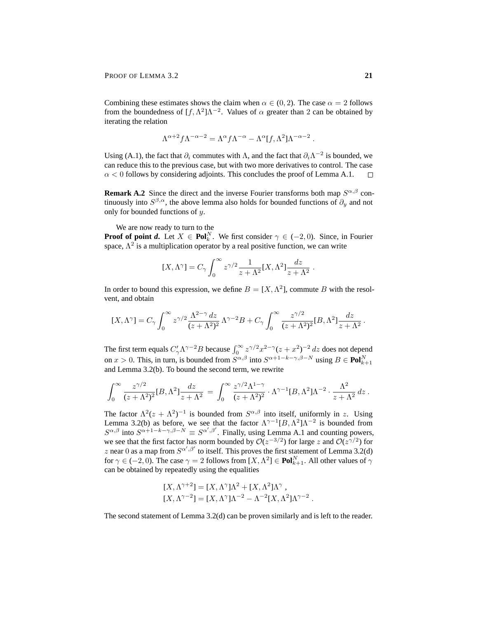Combining these estimates shows the claim when  $\alpha \in (0, 2)$ . The case  $\alpha = 2$  follows from the boundedness of  $[f, \Lambda^2]\Lambda^{-2}$ . Values of  $\alpha$  greater than 2 can be obtained by iterating the relation

$$
\Lambda^{\alpha+2} f \Lambda^{-\alpha-2} = \Lambda^{\alpha} f \Lambda^{-\alpha} - \Lambda^{\alpha} [f, \Lambda^2] \Lambda^{-\alpha-2} .
$$

Using (A.1), the fact that  $\partial_i$  commutes with  $\Lambda$ , and the fact that  $\partial_i \Lambda^{-2}$  is bounded, we can reduce this to the previous case, but with two more derivatives to control. The case  $\alpha$  < 0 follows by considering adjoints. This concludes the proof of Lemma A.1.  $\Box$ 

**Remark A.2** Since the direct and the inverse Fourier transforms both map  $S^{\alpha,\beta}$  continuously into  $S^{\beta,\alpha}$ , the above lemma also holds for bounded functions of  $\partial_y$  and not only for bounded functions of y.

We are now ready to turn to the

**Proof of point** *d*. Let  $X \in \text{Pol}_k^N$ . We first consider  $\gamma \in (-2, 0)$ . Since, in Fourier space,  $\Lambda^2$  is a multiplication operator by a real positive function, we can write

$$
[X, \Lambda^\gamma] = C_\gamma \int_0^\infty z^{\gamma/2} \frac{1}{z + \Lambda^2} [X, \Lambda^2] \frac{dz}{z + \Lambda^2} .
$$

In order to bound this expression, we define  $B = [X, \Lambda^2]$ , commute B with the resolvent, and obtain

$$
[X,\Lambda^\gamma]=C_\gamma\int_0^\infty z^{\gamma/2}\frac{\Lambda^{2-\gamma}\,dz}{(z+\Lambda^2)^2}\,\Lambda^{\gamma-2}B+C_\gamma\int_0^\infty \frac{z^{\gamma/2}}{(z+\Lambda^2)^2}[B,\Lambda^2]\frac{dz}{z+\Lambda^2}.
$$

The first term equals  $C'_{\gamma} \Lambda^{\gamma-2} B$  because  $\int_0^{\infty} z^{\gamma/2} x^{2-\gamma} (z + x^2)^{-2} dz$  does not depend on  $x > 0$ . This, in turn, is bounded from  $S^{\alpha,\beta}$  into  $S^{\alpha+1-k-\gamma,\beta-N}$  using  $B \in \text{Pol}_{k+1}^N$ and Lemma 3.2(b). To bound the second term, we rewrite

$$
\int_0^\infty \frac{z^{\gamma/2}}{(z+\Lambda^2)^2} [B,\Lambda^2] \frac{dz}{z+\Lambda^2} = \int_0^\infty \frac{z^{\gamma/2}\Lambda^{1-\gamma}}{(z+\Lambda^2)^2} \cdot \Lambda^{\gamma-1} [B,\Lambda^2] \Lambda^{-2} \cdot \frac{\Lambda^2}{z+\Lambda^2} dz.
$$

The factor  $\Lambda^2(z+\Lambda^2)^{-1}$  is bounded from  $S^{\alpha,\beta}$  into itself, uniformly in z. Using Lemma 3.2(b) as before, we see that the factor  $\Lambda^{\gamma-1}[B,\Lambda^2]\Lambda^{-2}$  is bounded from  $S^{\alpha,\beta}$  into  $S^{\alpha+1-k-\gamma,\beta-N} \equiv S^{\alpha',\beta'}$ . Finally, using Lemma A.1 and counting powers, we see that the first factor has norm bounded by  $O(z^{-3/2})$  for large z and  $O(z^{\gamma/2})$  for z near 0 as a map from  $S^{\alpha',\beta'}$  to itself. This proves the first statement of Lemma 3.2(d) for  $\gamma \in (-2, 0)$ . The case  $\gamma = 2$  follows from  $[X, \Lambda^2] \in \text{Pol}_{k+1}^N$ . All other values of  $\gamma$ can be obtained by repeatedly using the equalities

$$
[X, \Lambda^{\gamma+2}] = [X, \Lambda^{\gamma}]\Lambda^2 + [X, \Lambda^2]\Lambda^{\gamma},
$$
  

$$
[X, \Lambda^{\gamma-2}] = [X, \Lambda^{\gamma}]\Lambda^{-2} - \Lambda^{-2}[X, \Lambda^2]\Lambda^{\gamma-2}.
$$

The second statement of Lemma 3.2(d) can be proven similarly and is left to the reader.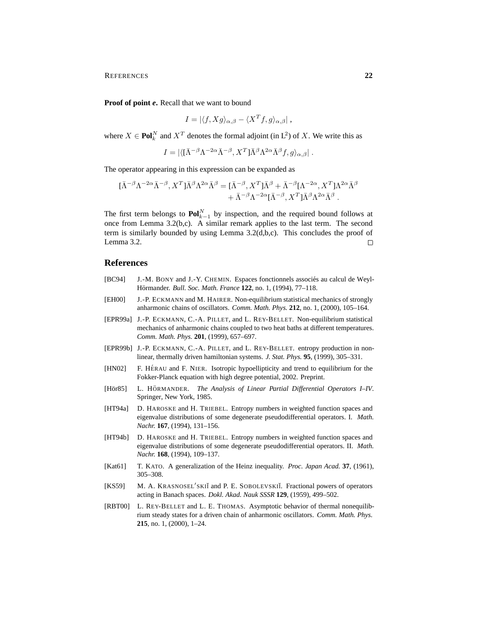REFERENCES **22**

**Proof of point** *e***.** Recall that we want to bound

$$
I = |\langle f, Xg \rangle_{\alpha,\beta} - \langle X^T f, g \rangle_{\alpha,\beta}|,
$$

where  $X \in \text{Pol}_k^N$  and  $X^T$  denotes the formal adjoint (in L<sup>2</sup>) of X. We write this as

$$
I = |\langle [\bar{\Lambda}^{-\beta} \Lambda^{-2\alpha} \bar{\Lambda}^{-\beta}, X^T] \bar{\Lambda}^{\beta} \Lambda^{2\alpha} \bar{\Lambda}^{\beta} f, g \rangle_{\alpha, \beta}|.
$$

The operator appearing in this expression can be expanded as

$$
\begin{split} [\bar{\Lambda}^{-\beta}\Lambda^{-2\alpha}\bar{\Lambda}^{-\beta}, X^T]\bar{\Lambda}^{\beta}\Lambda^{2\alpha}\bar{\Lambda}^{\beta} &= [\bar{\Lambda}^{-\beta}, X^T]\bar{\Lambda}^{\beta} + \bar{\Lambda}^{-\beta}[\Lambda^{-2\alpha}, X^T]\Lambda^{2\alpha}\bar{\Lambda}^{\beta} \\ &+ \bar{\Lambda}^{-\beta}\Lambda^{-2\alpha}[\bar{\Lambda}^{-\beta}, X^T]\bar{\Lambda}^{\beta}\Lambda^{2\alpha}\bar{\Lambda}^{\beta} \end{split}
$$

The first term belongs to  $\text{Pol}_{k-1}^N$  by inspection, and the required bound follows at once from Lemma 3.2(b,c). A similar remark applies to the last term. The second term is similarly bounded by using Lemma 3.2(d,b,c). This concludes the proof of Lemma 3.2.  $\Box$ 

### **References**

- [BC94] J.-M. BONY and J.-Y. CHEMIN. Espaces fonctionnels associés au calcul de Weyl-Hörmander. Bull. Soc. Math. France 122, no. 1, (1994), 77-118.
- [EH00] J.-P. ECKMANN and M. HAIRER. Non-equilibrium statistical mechanics of strongly anharmonic chains of oscillators. *Comm. Math. Phys.* **212**, no. 1, (2000), 105–164.
- [EPR99a] J.-P. ECKMANN, C.-A. PILLET, and L. REY-BELLET. Non-equilibrium statistical mechanics of anharmonic chains coupled to two heat baths at different temperatures. *Comm. Math. Phys.* **201**, (1999), 657–697.
- [EPR99b] J.-P. ECKMANN, C.-A. PILLET, and L. REY-BELLET. entropy production in nonlinear, thermally driven hamiltonian systems. *J. Stat. Phys.* **95**, (1999), 305–331.
- [HN02] F. HÉRAU and F. NIER. Isotropic hypoellipticity and trend to equilibrium for the Fokker-Planck equation with high degree potential, 2002. Preprint.
- [Hör85] L. HÖRMANDER. *The Analysis of Linear Partial Differential Operators 1–IV.* Springer, New York, 1985.
- [HT94a] D. HAROSKE and H. TRIEBEL. Entropy numbers in weighted function spaces and eigenvalue distributions of some degenerate pseudodifferential operators. I. *Math. Nachr.* **167**, (1994), 131–156.
- [HT94b] D. HAROSKE and H. TRIEBEL. Entropy numbers in weighted function spaces and eigenvalue distributions of some degenerate pseudodifferential operators. II. *Math. Nachr.* **168**, (1994), 109–137.
- [Kat61] T. KATO. A generalization of the Heinz inequality. *Proc. Japan Acad.* **37**, (1961), 305–308.
- [KS59] M. A. KRASNOSEL'SKIĬ and P. E. SOBOLEVSKIĬ. Fractional powers of operators acting in Banach spaces. *Dokl. Akad. Nauk SSSR* **129**, (1959), 499–502.
- [RBT00] L. REY-BELLET and L. E. THOMAS. Asymptotic behavior of thermal nonequilibrium steady states for a driven chain of anharmonic oscillators. *Comm. Math. Phys.* **215**, no. 1, (2000), 1–24.